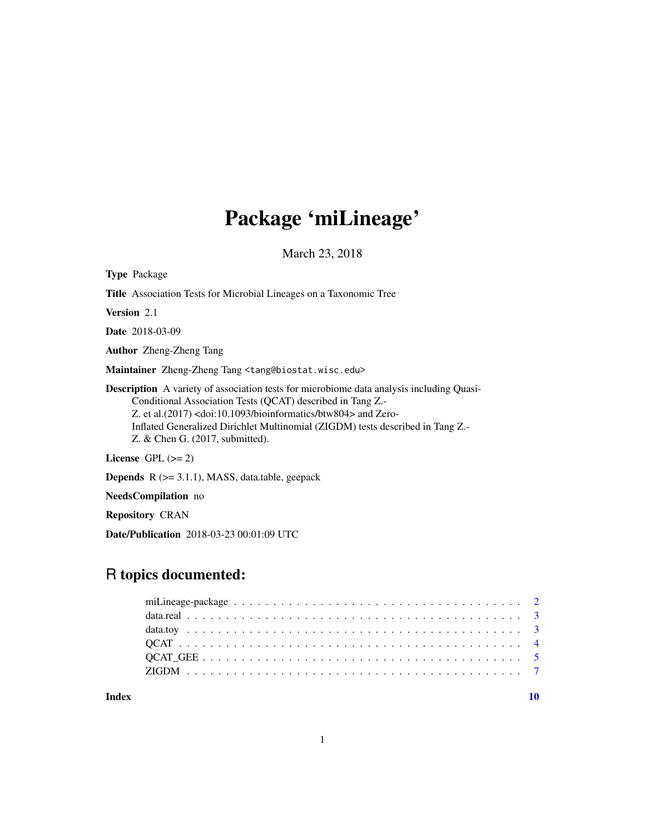# Package 'miLineage'

March 23, 2018

| <b>Type Package</b>                                                                                                                                                                                                                                                                                                                                                                          |
|----------------------------------------------------------------------------------------------------------------------------------------------------------------------------------------------------------------------------------------------------------------------------------------------------------------------------------------------------------------------------------------------|
| <b>Title</b> Association Tests for Microbial Lineages on a Taxonomic Tree                                                                                                                                                                                                                                                                                                                    |
| <b>Version</b> 2.1                                                                                                                                                                                                                                                                                                                                                                           |
| <b>Date</b> 2018-03-09                                                                                                                                                                                                                                                                                                                                                                       |
| <b>Author</b> Zheng-Zheng Tang                                                                                                                                                                                                                                                                                                                                                               |
| <b>Maintainer</b> Zheng-Zheng Tang <tang@biostat.wisc.edu></tang@biostat.wisc.edu>                                                                                                                                                                                                                                                                                                           |
| <b>Description</b> A variety of association tests for microbiome data analysis including Quasi-<br>Conditional Association Tests (QCAT) described in Tang Z.<br>Z. et al. $(2017)$ <doi:10.1093 bioinformatics="" btw804=""> and Zero-<br/>Inflated Generalized Dirichlet Multinomial (ZIGDM) tests described in Tang Z.-<br/>Z. &amp; Chen G. <math>(2017,</math> submitted).</doi:10.1093> |
| License GPL $(>= 2)$                                                                                                                                                                                                                                                                                                                                                                         |

Depends R (>= 3.1.1), MASS, data.table, geepack

NeedsCompilation no

Repository CRAN

Date/Publication 2018-03-23 00:01:09 UTC

# R topics documented:

 $\blacksquare$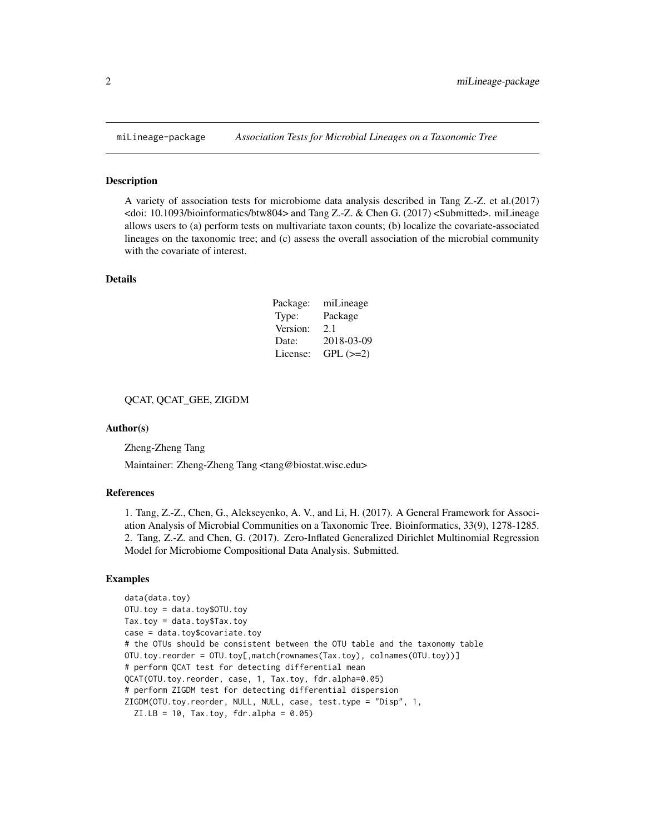#### Description

A variety of association tests for microbiome data analysis described in Tang Z.-Z. et al.(2017) <doi: 10.1093/bioinformatics/btw804> and Tang Z.-Z. & Chen G. (2017) <Submitted>. miLineage allows users to (a) perform tests on multivariate taxon counts; (b) localize the covariate-associated lineages on the taxonomic tree; and (c) assess the overall association of the microbial community with the covariate of interest.

# Details

| Package: | miLineage  |
|----------|------------|
| Type:    | Package    |
| Version: | 2.1        |
| Date:    | 2018-03-09 |
| License: | $GPL (=2)$ |

# QCAT, QCAT\_GEE, ZIGDM

#### Author(s)

Zheng-Zheng Tang

Maintainer: Zheng-Zheng Tang <tang@biostat.wisc.edu>

# References

1. Tang, Z.-Z., Chen, G., Alekseyenko, A. V., and Li, H. (2017). A General Framework for Association Analysis of Microbial Communities on a Taxonomic Tree. Bioinformatics, 33(9), 1278-1285. 2. Tang, Z.-Z. and Chen, G. (2017). Zero-Inflated Generalized Dirichlet Multinomial Regression Model for Microbiome Compositional Data Analysis. Submitted.

# Examples

```
data(data.toy)
OTU.toy = data.toy$OTU.toy
Tax.toy = data.toy$Tax.toy
case = data.toy$covariate.toy
# the OTUs should be consistent between the OTU table and the taxonomy table
OTU.toy.reorder = OTU.toy[,match(rownames(Tax.toy), colnames(OTU.toy))]
# perform QCAT test for detecting differential mean
QCAT(OTU.toy.reorder, case, 1, Tax.toy, fdr.alpha=0.05)
# perform ZIGDM test for detecting differential dispersion
ZIGDM(OTU.toy.reorder, NULL, NULL, case, test.type = "Disp", 1,
 ZI.LB = 10, Tax.toy, fdr.alpha = 0.05)
```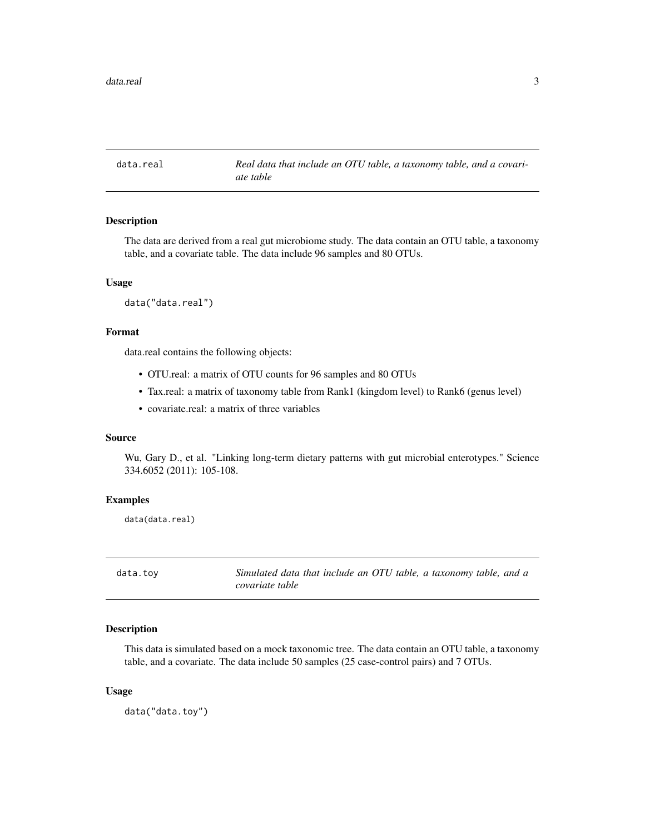<span id="page-2-0"></span>data.real *Real data that include an OTU table, a taxonomy table, and a covariate table*

# Description

The data are derived from a real gut microbiome study. The data contain an OTU table, a taxonomy table, and a covariate table. The data include 96 samples and 80 OTUs.

#### Usage

```
data("data.real")
```
# Format

data.real contains the following objects:

- OTU.real: a matrix of OTU counts for 96 samples and 80 OTUs
- Tax.real: a matrix of taxonomy table from Rank1 (kingdom level) to Rank6 (genus level)
- covariate.real: a matrix of three variables

#### Source

Wu, Gary D., et al. "Linking long-term dietary patterns with gut microbial enterotypes." Science 334.6052 (2011): 105-108.

## Examples

data(data.real)

data.toy *Simulated data that include an OTU table, a taxonomy table, and a covariate table*

# Description

This data is simulated based on a mock taxonomic tree. The data contain an OTU table, a taxonomy table, and a covariate. The data include 50 samples (25 case-control pairs) and 7 OTUs.

#### Usage

data("data.toy")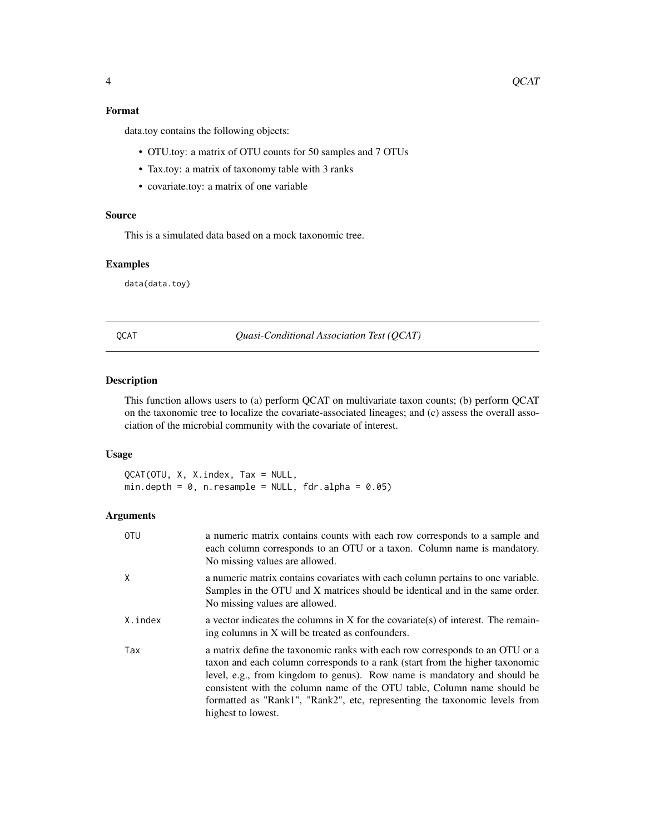# <span id="page-3-0"></span>Format

data.toy contains the following objects:

- OTU.toy: a matrix of OTU counts for 50 samples and 7 OTUs
- Tax.toy: a matrix of taxonomy table with 3 ranks
- covariate.toy: a matrix of one variable

# Source

This is a simulated data based on a mock taxonomic tree.

#### Examples

data(data.toy)

QCAT *Quasi-Conditional Association Test (QCAT)*

# Description

This function allows users to (a) perform QCAT on multivariate taxon counts; (b) perform QCAT on the taxonomic tree to localize the covariate-associated lineages; and (c) assess the overall association of the microbial community with the covariate of interest.

# Usage

QCAT(OTU, X, X.index, Tax = NULL, min.depth =  $0$ , n.resample = NULL, fdr.alpha =  $0.05$ )

# Arguments

| <b>OTU</b> | a numeric matrix contains counts with each row corresponds to a sample and<br>each column corresponds to an OTU or a taxon. Column name is mandatory.<br>No missing values are allowed.                                                                                                                                                                                                                                 |
|------------|-------------------------------------------------------------------------------------------------------------------------------------------------------------------------------------------------------------------------------------------------------------------------------------------------------------------------------------------------------------------------------------------------------------------------|
| X          | a numeric matrix contains covariates with each column pertains to one variable.<br>Samples in the OTU and X matrices should be identical and in the same order.<br>No missing values are allowed.                                                                                                                                                                                                                       |
| X.index    | a vector indicates the columns in X for the covariate(s) of interest. The remain-<br>ing columns in X will be treated as confounders.                                                                                                                                                                                                                                                                                   |
| Tax        | a matrix define the taxonomic ranks with each row corresponds to an OTU or a<br>taxon and each column corresponds to a rank (start from the higher taxonomic<br>level, e.g., from kingdom to genus). Row name is mandatory and should be<br>consistent with the column name of the OTU table, Column name should be<br>formatted as "Rank1", "Rank2", etc, representing the taxonomic levels from<br>highest to lowest. |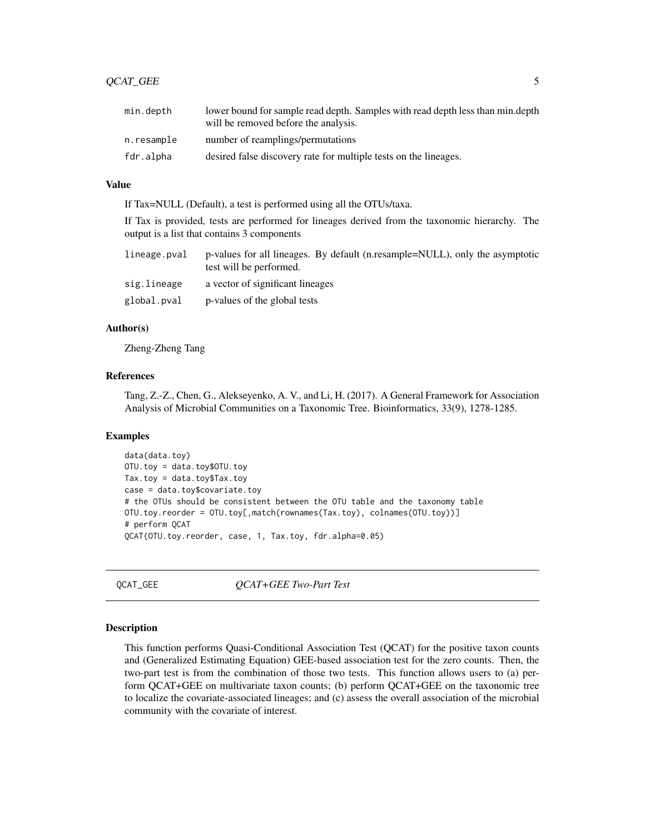<span id="page-4-0"></span>

| min.depth  | lower bound for sample read depth. Samples with read depth less than min.depth<br>will be removed before the analysis. |
|------------|------------------------------------------------------------------------------------------------------------------------|
| n.resample | number of reamplings/permutations                                                                                      |
| fdr.alpha  | desired false discovery rate for multiple tests on the lineages.                                                       |

# Value

If Tax=NULL (Default), a test is performed using all the OTUs/taxa.

If Tax is provided, tests are performed for lineages derived from the taxonomic hierarchy. The output is a list that contains 3 components

| lineage.pval | p-values for all lineages. By default (n.resample=NULL), only the asymptotic<br>test will be performed. |
|--------------|---------------------------------------------------------------------------------------------------------|
| sig.lineage  | a vector of significant lineages                                                                        |
| global.pval  | p-values of the global tests                                                                            |

#### Author(s)

Zheng-Zheng Tang

# References

Tang, Z.-Z., Chen, G., Alekseyenko, A. V., and Li, H. (2017). A General Framework for Association Analysis of Microbial Communities on a Taxonomic Tree. Bioinformatics, 33(9), 1278-1285.

#### Examples

```
data(data.toy)
OTU.toy = data.toy$OTU.toy
Tax.toy = data.toy$Tax.toy
case = data.toy$covariate.toy
# the OTUs should be consistent between the OTU table and the taxonomy table
OTU.toy.reorder = OTU.toy[,match(rownames(Tax.toy), colnames(OTU.toy))]
# perform QCAT
QCAT(OTU.toy.reorder, case, 1, Tax.toy, fdr.alpha=0.05)
```
QCAT\_GEE *QCAT+GEE Two-Part Test*

#### Description

This function performs Quasi-Conditional Association Test (QCAT) for the positive taxon counts and (Generalized Estimating Equation) GEE-based association test for the zero counts. Then, the two-part test is from the combination of those two tests. This function allows users to (a) perform QCAT+GEE on multivariate taxon counts; (b) perform QCAT+GEE on the taxonomic tree to localize the covariate-associated lineages; and (c) assess the overall association of the microbial community with the covariate of interest.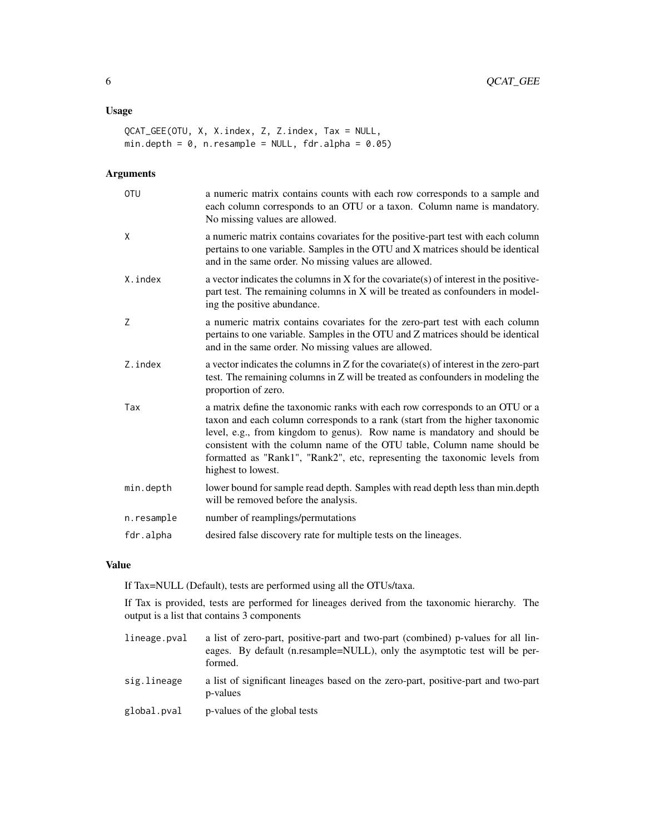# Usage

```
QCAT_GEE(OTU, X, X.index, Z, Z.index, Tax = NULL,
min.depth = 0, n.resample = NULL, fdr.alpha = 0.05)
```
# Arguments

| <b>OTU</b> | a numeric matrix contains counts with each row corresponds to a sample and<br>each column corresponds to an OTU or a taxon. Column name is mandatory.<br>No missing values are allowed.                                                                                                                                                                                                                                 |
|------------|-------------------------------------------------------------------------------------------------------------------------------------------------------------------------------------------------------------------------------------------------------------------------------------------------------------------------------------------------------------------------------------------------------------------------|
| X          | a numeric matrix contains covariates for the positive-part test with each column<br>pertains to one variable. Samples in the OTU and X matrices should be identical<br>and in the same order. No missing values are allowed.                                                                                                                                                                                            |
| X.index    | a vector indicates the columns in $X$ for the covariate(s) of interest in the positive-<br>part test. The remaining columns in X will be treated as confounders in model-<br>ing the positive abundance.                                                                                                                                                                                                                |
| Z          | a numeric matrix contains covariates for the zero-part test with each column<br>pertains to one variable. Samples in the OTU and Z matrices should be identical<br>and in the same order. No missing values are allowed.                                                                                                                                                                                                |
| Z.index    | a vector indicates the columns in $Z$ for the covariate(s) of interest in the zero-part<br>test. The remaining columns in Z will be treated as confounders in modeling the<br>proportion of zero.                                                                                                                                                                                                                       |
| Tax        | a matrix define the taxonomic ranks with each row corresponds to an OTU or a<br>taxon and each column corresponds to a rank (start from the higher taxonomic<br>level, e.g., from kingdom to genus). Row name is mandatory and should be<br>consistent with the column name of the OTU table, Column name should be<br>formatted as "Rank1", "Rank2", etc, representing the taxonomic levels from<br>highest to lowest. |
| min.depth  | lower bound for sample read depth. Samples with read depth less than min.depth<br>will be removed before the analysis.                                                                                                                                                                                                                                                                                                  |
| n.resample | number of reamplings/permutations                                                                                                                                                                                                                                                                                                                                                                                       |
| fdr.alpha  | desired false discovery rate for multiple tests on the lineages.                                                                                                                                                                                                                                                                                                                                                        |

## Value

If Tax=NULL (Default), tests are performed using all the OTUs/taxa.

If Tax is provided, tests are performed for lineages derived from the taxonomic hierarchy. The output is a list that contains 3 components

- lineage.pval a list of zero-part, positive-part and two-part (combined) p-values for all lineages. By default (n.resample=NULL), only the asymptotic test will be performed. sig.lineage a list of significant lineages based on the zero-part, positive-part and two-part p-values
- global.pval p-values of the global tests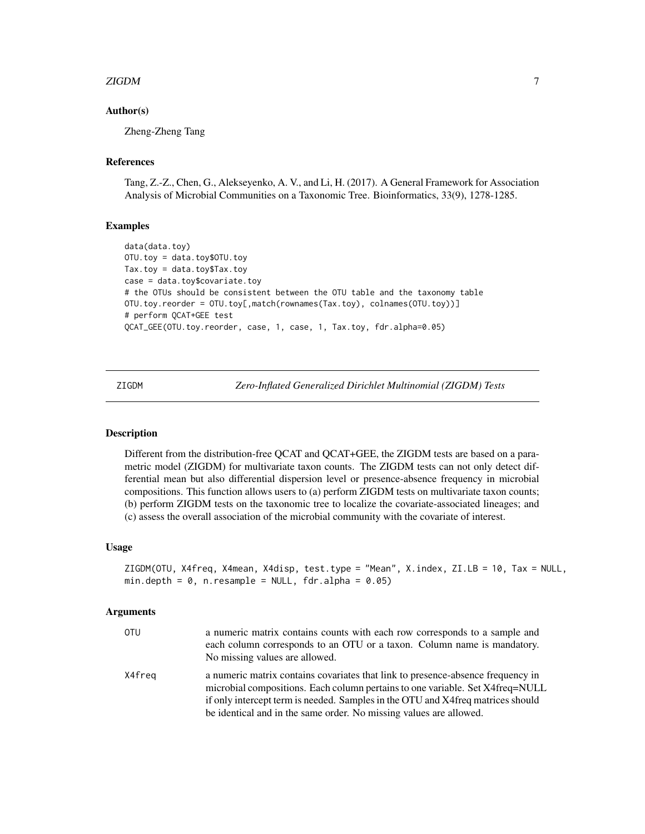#### <span id="page-6-0"></span>zigDM  $\sim$  7

# Author(s)

Zheng-Zheng Tang

# References

Tang, Z.-Z., Chen, G., Alekseyenko, A. V., and Li, H. (2017). A General Framework for Association Analysis of Microbial Communities on a Taxonomic Tree. Bioinformatics, 33(9), 1278-1285.

## Examples

```
data(data.toy)
OTU.toy = data.toy$OTU.toy
Tax.toy = data.toy$Tax.toy
case = data.toy$covariate.toy
# the OTUs should be consistent between the OTU table and the taxonomy table
OTU.toy.reorder = OTU.toy[,match(rownames(Tax.toy), colnames(OTU.toy))]
# perform QCAT+GEE test
QCAT_GEE(OTU.toy.reorder, case, 1, case, 1, Tax.toy, fdr.alpha=0.05)
```
ZIGDM *Zero-Inflated Generalized Dirichlet Multinomial (ZIGDM) Tests*

# **Description**

Different from the distribution-free QCAT and QCAT+GEE, the ZIGDM tests are based on a parametric model (ZIGDM) for multivariate taxon counts. The ZIGDM tests can not only detect differential mean but also differential dispersion level or presence-absence frequency in microbial compositions. This function allows users to (a) perform ZIGDM tests on multivariate taxon counts; (b) perform ZIGDM tests on the taxonomic tree to localize the covariate-associated lineages; and (c) assess the overall association of the microbial community with the covariate of interest.

#### Usage

```
ZIGDM(OTU, X4freq, X4mean, X4disp, test.type = "Mean", X.index, ZI.LB = 10, Tax = NULL,
min.depth = 0, n.resample = NULL, fdr.alpha = 0.05)
```
#### Arguments

| OTU    | a numeric matrix contains counts with each row corresponds to a sample and<br>each column corresponds to an OTU or a taxon. Column name is mandatory.<br>No missing values are allowed.                                                                                                                                   |
|--------|---------------------------------------------------------------------------------------------------------------------------------------------------------------------------------------------------------------------------------------------------------------------------------------------------------------------------|
| X4freq | a numeric matrix contains covariates that link to presence-absence frequency in<br>microbial compositions. Each column pertains to one variable. Set X4freq=NULL<br>if only intercept term is needed. Samples in the OTU and X4freq matrices should<br>be identical and in the same order. No missing values are allowed. |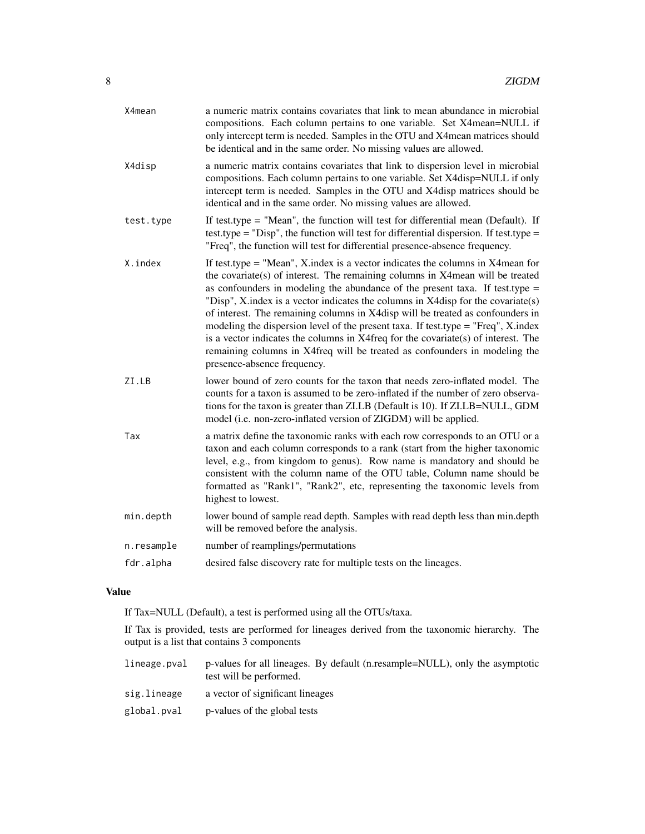| X4mean     | a numeric matrix contains covariates that link to mean abundance in microbial<br>compositions. Each column pertains to one variable. Set X4mean=NULL if<br>only intercept term is needed. Samples in the OTU and X4 mean matrices should<br>be identical and in the same order. No missing values are allowed.                                                                                                                                                                                                                                                                                                                                                                                                     |
|------------|--------------------------------------------------------------------------------------------------------------------------------------------------------------------------------------------------------------------------------------------------------------------------------------------------------------------------------------------------------------------------------------------------------------------------------------------------------------------------------------------------------------------------------------------------------------------------------------------------------------------------------------------------------------------------------------------------------------------|
| X4disp     | a numeric matrix contains covariates that link to dispersion level in microbial<br>compositions. Each column pertains to one variable. Set X4disp=NULL if only<br>intercept term is needed. Samples in the OTU and X4disp matrices should be<br>identical and in the same order. No missing values are allowed.                                                                                                                                                                                                                                                                                                                                                                                                    |
| test.type  | If test type = "Mean", the function will test for differential mean (Default). If<br>test.type = "Disp", the function will test for differential dispersion. If test.type =<br>"Freq", the function will test for differential presence-absence frequency.                                                                                                                                                                                                                                                                                                                                                                                                                                                         |
| X.index    | If test type $=$ "Mean", X index is a vector indicates the columns in X4 mean for<br>the covariate(s) of interest. The remaining columns in X4 mean will be treated<br>as confounders in modeling the abundance of the present taxa. If test type $=$<br>"Disp", X.index is a vector indicates the columns in X4disp for the covariate(s)<br>of interest. The remaining columns in X4disp will be treated as confounders in<br>modeling the dispersion level of the present taxa. If test type = "Freq", X.index<br>is a vector indicates the columns in X4freq for the covariate(s) of interest. The<br>remaining columns in X4freq will be treated as confounders in modeling the<br>presence-absence frequency. |
| ZI.LB      | lower bound of zero counts for the taxon that needs zero-inflated model. The<br>counts for a taxon is assumed to be zero-inflated if the number of zero observa-<br>tions for the taxon is greater than ZI.LB (Default is 10). If ZI.LB=NULL, GDM<br>model (i.e. non-zero-inflated version of ZIGDM) will be applied.                                                                                                                                                                                                                                                                                                                                                                                              |
| Tax        | a matrix define the taxonomic ranks with each row corresponds to an OTU or a<br>taxon and each column corresponds to a rank (start from the higher taxonomic<br>level, e.g., from kingdom to genus). Row name is mandatory and should be<br>consistent with the column name of the OTU table, Column name should be<br>formatted as "Rank1", "Rank2", etc, representing the taxonomic levels from<br>highest to lowest.                                                                                                                                                                                                                                                                                            |
| min.depth  | lower bound of sample read depth. Samples with read depth less than min.depth<br>will be removed before the analysis.                                                                                                                                                                                                                                                                                                                                                                                                                                                                                                                                                                                              |
| n.resample | number of reamplings/permutations                                                                                                                                                                                                                                                                                                                                                                                                                                                                                                                                                                                                                                                                                  |
| fdr.alpha  | desired false discovery rate for multiple tests on the lineages.                                                                                                                                                                                                                                                                                                                                                                                                                                                                                                                                                                                                                                                   |

# Value

If Tax=NULL (Default), a test is performed using all the OTUs/taxa.

If Tax is provided, tests are performed for lineages derived from the taxonomic hierarchy. The output is a list that contains 3 components

| lineage.pval | p-values for all lineages. By default (n.resample=NULL), only the asymptotic<br>test will be performed. |
|--------------|---------------------------------------------------------------------------------------------------------|
| sig.lineage  | a vector of significant lineages                                                                        |
| global.pval  | p-values of the global tests                                                                            |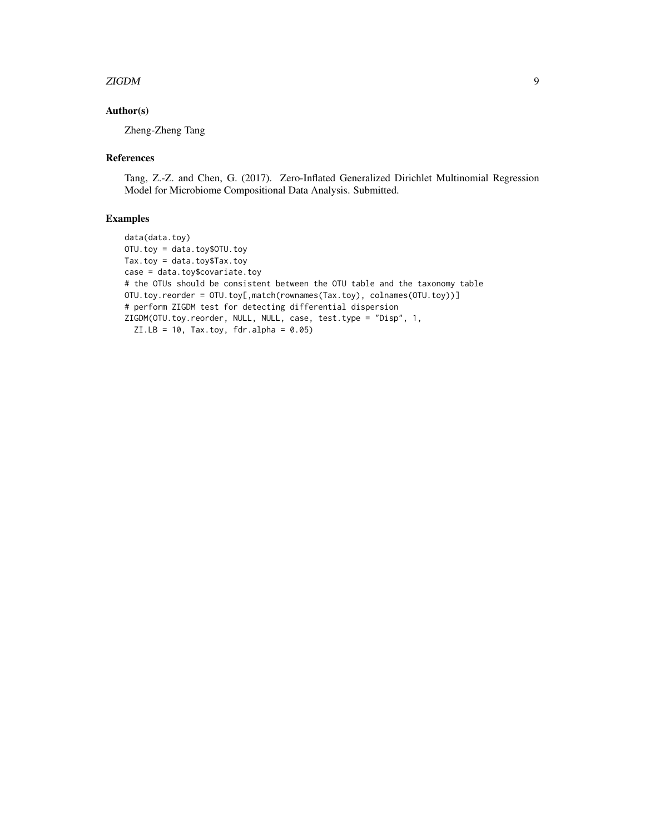#### zigDM 9

# Author(s)

Zheng-Zheng Tang

## References

Tang, Z.-Z. and Chen, G. (2017). Zero-Inflated Generalized Dirichlet Multinomial Regression Model for Microbiome Compositional Data Analysis. Submitted.

# Examples

data(data.toy) OTU.toy = data.toy\$OTU.toy Tax.toy = data.toy\$Tax.toy case = data.toy\$covariate.toy # the OTUs should be consistent between the OTU table and the taxonomy table OTU.toy.reorder = OTU.toy[,match(rownames(Tax.toy), colnames(OTU.toy))] # perform ZIGDM test for detecting differential dispersion ZIGDM(OTU.toy.reorder, NULL, NULL, case, test.type = "Disp", 1,  $ZI.LB = 10$ , Tax.toy, fdr.alpha = 0.05)